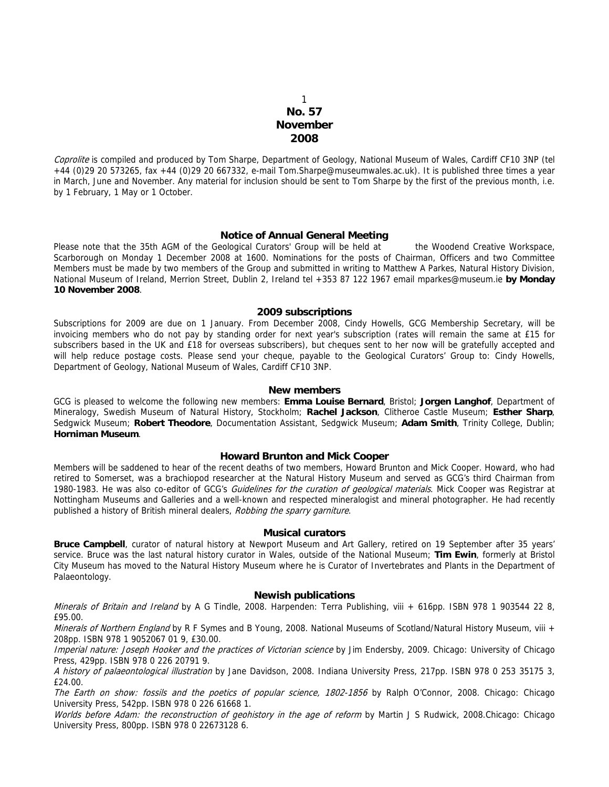# 1 **No. 57 November 2008**

Coprolite is compiled and produced by Tom Sharpe, Department of Geology, National Museum of Wales, Cardiff CF10 3NP (tel +44 (0)29 20 573265, fax +44 (0)29 20 667332, e-mail Tom.Sharpe@museumwales.ac.uk). It is published three times a year in March, June and November. Any material for inclusion should be sent to Tom Sharpe by the first of the previous month, i.e. by 1 February, 1 May or 1 October.

## **Notice of Annual General Meeting**

Please note that the 35th AGM of the Geological Curators' Group will be held at the Woodend Creative Workspace, Scarborough on Monday 1 December 2008 at 1600. Nominations for the posts of Chairman, Officers and two Committee Members must be made by two members of the Group and submitted in writing to Matthew A Parkes, Natural History Division, National Museum of Ireland, Merrion Street, Dublin 2, Ireland tel +353 87 122 1967 email mparkes@museum.ie **by Monday 10 November 2008**.

### **2009 subscriptions**

Subscriptions for 2009 are due on 1 January. From December 2008, Cindy Howells, GCG Membership Secretary, will be invoicing members who do not pay by standing order for next year's subscription (rates will remain the same at £15 for subscribers based in the UK and £18 for overseas subscribers), but cheques sent to her now will be gratefully accepted and will help reduce postage costs. Please send your cheque, payable to the Geological Curators' Group to: Cindy Howells, Department of Geology, National Museum of Wales, Cardiff CF10 3NP.

### **New members**

GCG is pleased to welcome the following new members: **Emma Louise Bernard**, Bristol; **Jorgen Langhof**, Department of Mineralogy, Swedish Museum of Natural History, Stockholm; **Rachel Jackson**, Clitheroe Castle Museum; **Esther Sharp**, Sedgwick Museum; **Robert Theodore**, Documentation Assistant, Sedgwick Museum; **Adam Smith**, Trinity College, Dublin; **Horniman Museum**.

## **Howard Brunton and Mick Cooper**

Members will be saddened to hear of the recent deaths of two members, Howard Brunton and Mick Cooper. Howard, who had retired to Somerset, was a brachiopod researcher at the Natural History Museum and served as GCG's third Chairman from 1980-1983. He was also co-editor of GCG's Guidelines for the curation of geological materials. Mick Cooper was Registrar at Nottingham Museums and Galleries and a well-known and respected mineralogist and mineral photographer. He had recently published a history of British mineral dealers, Robbing the sparry garniture.

### **Musical curators**

**Bruce Campbell**, curator of natural history at Newport Museum and Art Gallery, retired on 19 September after 35 years' service. Bruce was the last natural history curator in Wales, outside of the National Museum; **Tim Ewin**, formerly at Bristol City Museum has moved to the Natural History Museum where he is Curator of Invertebrates and Plants in the Department of Palaeontology.

#### **Newish publications**

Minerals of Britain and Ireland by A G Tindle, 2008. Harpenden: Terra Publishing, viii + 616pp. ISBN 978 1 903544 22 8, £95.00.

Minerals of Northern England by R F Symes and B Young, 2008. National Museums of Scotland/Natural History Museum, viii + 208pp. ISBN 978 1 9052067 01 9, £30.00.

Imperial nature: Joseph Hooker and the practices of Victorian science by Jim Endersby, 2009. Chicago: University of Chicago Press, 429pp. ISBN 978 0 226 20791 9.

A history of palaeontological illustration by Jane Davidson, 2008. Indiana University Press, 217pp. ISBN 978 0 253 35175 3, £24.00.

The Earth on show: fossils and the poetics of popular science, 1802-1856 by Ralph O'Connor, 2008. Chicago: Chicago University Press, 542pp. ISBN 978 0 226 61668 1.

Worlds before Adam: the reconstruction of geohistory in the age of reform by Martin J S Rudwick, 2008.Chicago: Chicago University Press, 800pp. ISBN 978 0 22673128 6.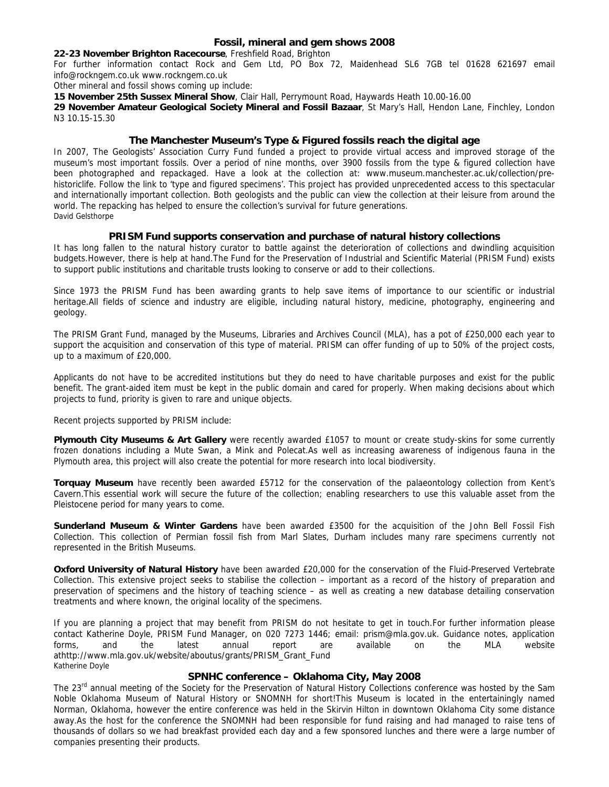# **Fossil, mineral and gem shows 2008**

## **22-23 November Brighton Racecourse**, Freshfield Road, Brighton

For further information contact Rock and Gem Ltd, PO Box 72, Maidenhead SL6 7GB tel 01628 621697 email info@rockngem.co.uk www.rockngem.co.uk

Other mineral and fossil shows coming up include:

**15 November 25th Sussex Mineral Show**, Clair Hall, Perrymount Road, Haywards Heath 10.00-16.00

**29 November Amateur Geological Society Mineral and Fossil Bazaar**, St Mary's Hall, Hendon Lane, Finchley, London N3 10.15-15.30

# **The Manchester Museum's Type & Figured fossils reach the digital age**

In 2007, The Geologists' Association Curry Fund funded a project to provide virtual access and improved storage of the museum's most important fossils. Over a period of nine months, over 3900 fossils from the type & figured collection have been photographed and repackaged. Have a look at the collection at: www.museum.manchester.ac.uk/collection/prehistoriclife. Follow the link to 'type and figured specimens'. This project has provided unprecedented access to this spectacular and internationally important collection. Both geologists and the public can view the collection at their leisure from around the world. The repacking has helped to ensure the collection's survival for future generations. David Gelsthorpe

# **PRISM Fund supports conservation and purchase of natural history collections**

It has long fallen to the natural history curator to battle against the deterioration of collections and dwindling acquisition budgets.However, there is help at hand.The Fund for the Preservation of Industrial and Scientific Material (PRISM Fund) exists to support public institutions and charitable trusts looking to conserve or add to their collections.

Since 1973 the PRISM Fund has been awarding grants to help save items of importance to our scientific or industrial heritage.All fields of science and industry are eligible, including natural history, medicine, photography, engineering and geology.

The PRISM Grant Fund, managed by the Museums, Libraries and Archives Council (MLA), has a pot of £250,000 each year to support the acquisition and conservation of this type of material. PRISM can offer funding of up to 50% of the project costs, up to a maximum of £20,000.

Applicants do not have to be accredited institutions but they do need to have charitable purposes and exist for the public benefit. The grant-aided item must be kept in the public domain and cared for properly. When making decisions about which projects to fund, priority is given to rare and unique objects.

Recent projects supported by PRISM include:

**Plymouth City Museums & Art Gallery** were recently awarded £1057 to mount or create study-skins for some currently frozen donations including a Mute Swan, a Mink and Polecat.As well as increasing awareness of indigenous fauna in the Plymouth area, this project will also create the potential for more research into local biodiversity.

**Torquay Museum** have recently been awarded £5712 for the conservation of the palaeontology collection from Kent's Cavern.This essential work will secure the future of the collection; enabling researchers to use this valuable asset from the Pleistocene period for many years to come.

**Sunderland Museum & Winter Gardens** have been awarded £3500 for the acquisition of the John Bell Fossil Fish Collection. This collection of Permian fossil fish from Marl Slates, Durham includes many rare specimens currently not represented in the British Museums.

**Oxford University of Natural History** have been awarded £20,000 for the conservation of the Fluid-Preserved Vertebrate Collection. This extensive project seeks to stabilise the collection – important as a record of the history of preparation and preservation of specimens and the history of teaching science – as well as creating a new database detailing conservation treatments and where known, the original locality of the specimens.

If you are planning a project that may benefit from PRISM do not hesitate to get in touch.For further information please contact Katherine Doyle, PRISM Fund Manager, on 020 7273 1446; email: prism@mla.gov.uk. Guidance notes, application forms, and the latest annual report are available on the MLA website athttp://www.mla.gov.uk/website/aboutus/grants/PRISM\_Grant\_Fund Katherine Doyle

# **SPNHC conference – Oklahoma City, May 2008**

The 23<sup>rd</sup> annual meeting of the Society for the Preservation of Natural History Collections conference was hosted by the Sam Noble Oklahoma Museum of Natural History or SNOMNH for short!This Museum is located in the entertainingly named Norman, Oklahoma, however the entire conference was held in the Skirvin Hilton in downtown Oklahoma City some distance away.As the host for the conference the SNOMNH had been responsible for fund raising and had managed to raise tens of thousands of dollars so we had breakfast provided each day and a few sponsored lunches and there were a large number of companies presenting their products.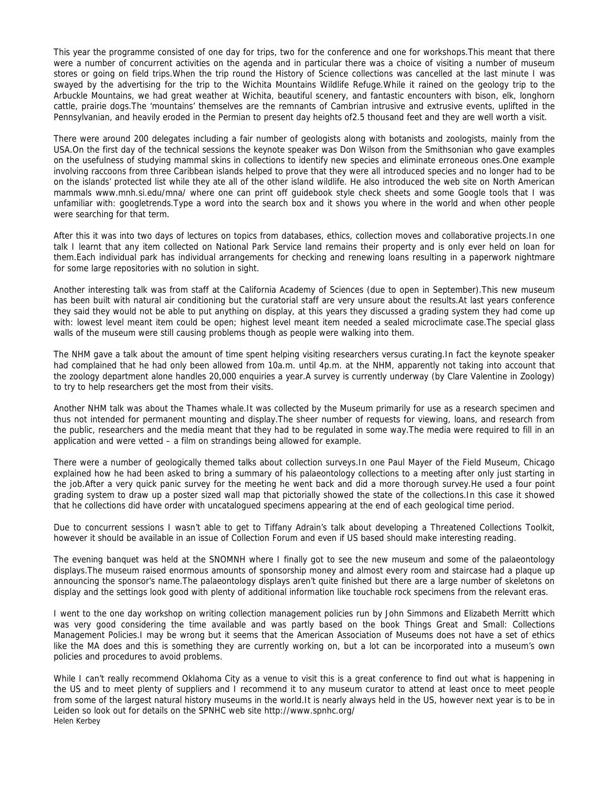This year the programme consisted of one day for trips, two for the conference and one for workshops.This meant that there were a number of concurrent activities on the agenda and in particular there was a choice of visiting a number of museum stores or going on field trips.When the trip round the History of Science collections was cancelled at the last minute I was swayed by the advertising for the trip to the Wichita Mountains Wildlife Refuge.While it rained on the geology trip to the Arbuckle Mountains, we had great weather at Wichita, beautiful scenery, and fantastic encounters with bison, elk, longhorn cattle, prairie dogs.The 'mountains' themselves are the remnants of Cambrian intrusive and extrusive events, uplifted in the Pennsylvanian, and heavily eroded in the Permian to present day heights of2.5 thousand feet and they are well worth a visit.

There were around 200 delegates including a fair number of geologists along with botanists and zoologists, mainly from the USA.On the first day of the technical sessions the keynote speaker was Don Wilson from the Smithsonian who gave examples on the usefulness of studying mammal skins in collections to identify new species and eliminate erroneous ones.One example involving raccoons from three Caribbean islands helped to prove that they were all introduced species and no longer had to be on the islands' protected list while they ate all of the other island wildlife. He also introduced the web site on North American mammals www.mnh.si.edu/mna/ where one can print off guidebook style check sheets and some Google tools that I was unfamiliar with: googletrends.Type a word into the search box and it shows you where in the world and when other people were searching for that term.

After this it was into two days of lectures on topics from databases, ethics, collection moves and collaborative projects.In one talk I learnt that any item collected on National Park Service land remains their property and is only ever held on loan for them.Each individual park has individual arrangements for checking and renewing loans resulting in a paperwork nightmare for some large repositories with no solution in sight.

Another interesting talk was from staff at the California Academy of Sciences (due to open in September).This new museum has been built with natural air conditioning but the curatorial staff are very unsure about the results.At last years conference they said they would not be able to put anything on display, at this years they discussed a grading system they had come up with: lowest level meant item could be open; highest level meant item needed a sealed microclimate case.The special glass walls of the museum were still causing problems though as people were walking into them.

The NHM gave a talk about the amount of time spent helping visiting researchers versus curating.In fact the keynote speaker had complained that he had only been allowed from 10a.m. until 4p.m. at the NHM, apparently not taking into account that the zoology department alone handles 20,000 enquiries a year.A survey is currently underway (by Clare Valentine in Zoology) to try to help researchers get the most from their visits.

Another NHM talk was about the Thames whale.It was collected by the Museum primarily for use as a research specimen and thus not intended for permanent mounting and display.The sheer number of requests for viewing, loans, and research from the public, researchers and the media meant that they had to be regulated in some way.The media were required to fill in an application and were vetted – a film on strandings being allowed for example.

There were a number of geologically themed talks about collection surveys.In one Paul Mayer of the Field Museum, Chicago explained how he had been asked to bring a summary of his palaeontology collections to a meeting after only just starting in the job.After a very quick panic survey for the meeting he went back and did a more thorough survey.He used a four point grading system to draw up a poster sized wall map that pictorially showed the state of the collections.In this case it showed that he collections did have order with uncatalogued specimens appearing at the end of each geological time period.

Due to concurrent sessions I wasn't able to get to Tiffany Adrain's talk about developing a Threatened Collections Toolkit. however it should be available in an issue of Collection Forum and even if US based should make interesting reading.

The evening banquet was held at the SNOMNH where I finally got to see the new museum and some of the palaeontology displays.The museum raised enormous amounts of sponsorship money and almost every room and staircase had a plaque up announcing the sponsor's name.The palaeontology displays aren't quite finished but there are a large number of skeletons on display and the settings look good with plenty of additional information like touchable rock specimens from the relevant eras.

I went to the one day workshop on writing collection management policies run by John Simmons and Elizabeth Merritt which was very good considering the time available and was partly based on the book Things Great and Small: Collections Management Policies.I may be wrong but it seems that the American Association of Museums does not have a set of ethics like the MA does and this is something they are currently working on, but a lot can be incorporated into a museum's own policies and procedures to avoid problems.

While I can't really recommend Oklahoma City as a venue to visit this is a great conference to find out what is happening in the US and to meet plenty of suppliers and I recommend it to any museum curator to attend at least once to meet people from some of the largest natural history museums in the world.It is nearly always held in the US, however next year is to be in Leiden so look out for details on the SPNHC web site http://www.spnhc.org/ Helen Kerbey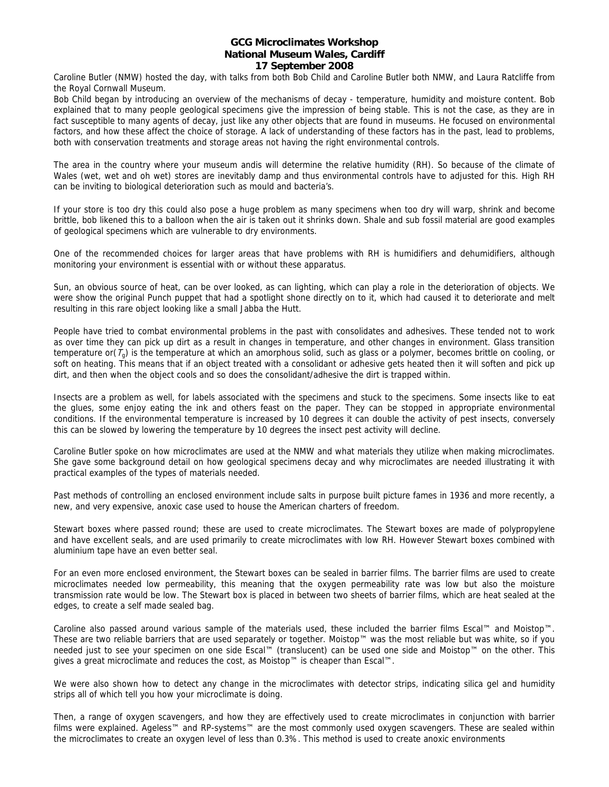# **GCG Microclimates Workshop National Museum Wales, Cardiff 17 September 2008**

Caroline Butler (NMW) hosted the day, with talks from both Bob Child and Caroline Butler both NMW, and Laura Ratcliffe from the Royal Cornwall Museum.

Bob Child began by introducing an overview of the mechanisms of decay - temperature, humidity and moisture content. Bob explained that to many people geological specimens give the impression of being stable. This is not the case, as they are in fact susceptible to many agents of decay, just like any other objects that are found in museums. He focused on environmental factors, and how these affect the choice of storage. A lack of understanding of these factors has in the past, lead to problems, both with conservation treatments and storage areas not having the right environmental controls.

The area in the country where your museum andis will determine the relative humidity (RH). So because of the climate of Wales (wet, wet and oh wet) stores are inevitably damp and thus environmental controls have to adjusted for this. High RH can be inviting to biological deterioration such as mould and bacteria's.

If your store is too dry this could also pose a huge problem as many specimens when too dry will warp, shrink and become brittle, bob likened this to a balloon when the air is taken out it shrinks down. Shale and sub fossil material are good examples of geological specimens which are vulnerable to dry environments.

One of the recommended choices for larger areas that have problems with RH is humidifiers and dehumidifiers, although monitoring your environment is essential with or without these apparatus.

Sun, an obvious source of heat, can be over looked, as can lighting, which can play a role in the deterioration of objects. We were show the original Punch puppet that had a spotlight shone directly on to it, which had caused it to deteriorate and melt resulting in this rare object looking like a small Jabba the Hutt.

People have tried to combat environmental problems in the past with consolidates and adhesives. These tended not to work as over time they can pick up dirt as a result in changes in temperature, and other changes in environment. Glass transition temperature or( $T<sub>g</sub>$ ) is the temperature at which an amorphous solid, such as glass or a polymer, becomes brittle on cooling, or soft on heating. This means that if an object treated with a consolidant or adhesive gets heated then it will soften and pick up dirt, and then when the object cools and so does the consolidant/adhesive the dirt is trapped within.

Insects are a problem as well, for labels associated with the specimens and stuck to the specimens. Some insects like to eat the glues, some enjoy eating the ink and others feast on the paper. They can be stopped in appropriate environmental conditions. If the environmental temperature is increased by 10 degrees it can double the activity of pest insects, conversely this can be slowed by lowering the temperature by 10 degrees the insect pest activity will decline.

Caroline Butler spoke on how microclimates are used at the NMW and what materials they utilize when making microclimates. She gave some background detail on how geological specimens decay and why microclimates are needed illustrating it with practical examples of the types of materials needed.

Past methods of controlling an enclosed environment include salts in purpose built picture fames in 1936 and more recently, a new, and very expensive, anoxic case used to house the American charters of freedom.

Stewart boxes where passed round; these are used to create microclimates. The Stewart boxes are made of polypropylene and have excellent seals, and are used primarily to create microclimates with low RH. However Stewart boxes combined with aluminium tape have an even better seal.

For an even more enclosed environment, the Stewart boxes can be sealed in barrier films. The barrier films are used to create microclimates needed low permeability, this meaning that the oxygen permeability rate was low but also the moisture transmission rate would be low. The Stewart box is placed in between two sheets of barrier films, which are heat sealed at the edges, to create a self made sealed bag.

Caroline also passed around various sample of the materials used, these included the barrier films Escal™ and Moistop™. These are two reliable barriers that are used separately or together. Moistop™ was the most reliable but was white, so if you needed just to see your specimen on one side Escal™ (translucent) can be used one side and Moistop™ on the other. This gives a great microclimate and reduces the cost, as Moistop™ is cheaper than Escal™.

We were also shown how to detect any change in the microclimates with detector strips, indicating silica gel and humidity strips all of which tell you how your microclimate is doing.

Then, a range of oxygen scavengers, and how they are effectively used to create microclimates in conjunction with barrier films were explained. Ageless™ and RP-systems™ are the most commonly used oxygen scavengers. These are sealed within the microclimates to create an oxygen level of less than 0.3%. This method is used to create anoxic environments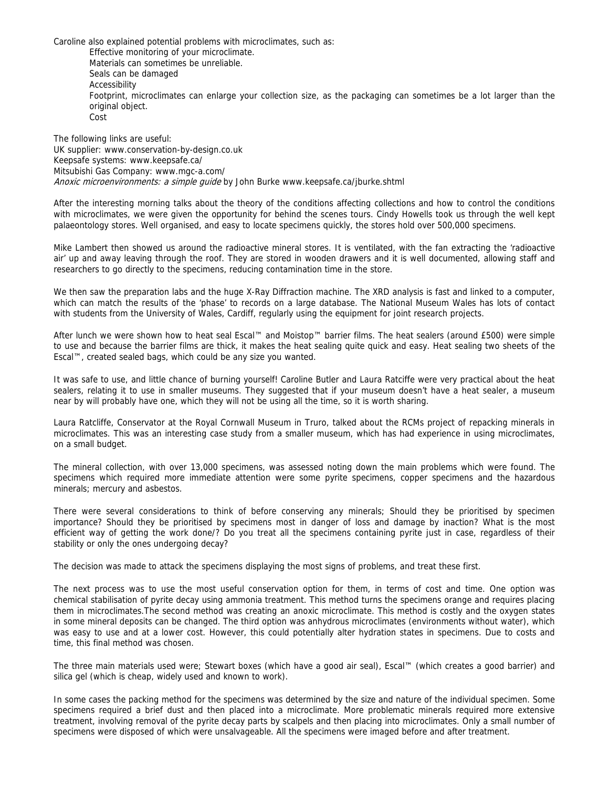Caroline also explained potential problems with microclimates, such as: Effective monitoring of your microclimate. Materials can sometimes be unreliable. Seals can be damaged Accessibility Footprint, microclimates can enlarge your collection size, as the packaging can sometimes be a lot larger than the original object. Cost

The following links are useful: UK supplier: www.conservation-by-design.co.uk Keepsafe systems: www.keepsafe.ca/ Mitsubishi Gas Company: www.mgc-a.com/ Anoxic microenvironments: a simple quide by John Burke www.keepsafe.ca/jburke.shtml

After the interesting morning talks about the theory of the conditions affecting collections and how to control the conditions with microclimates, we were given the opportunity for behind the scenes tours. Cindy Howells took us through the well kept palaeontology stores. Well organised, and easy to locate specimens quickly, the stores hold over 500,000 specimens.

Mike Lambert then showed us around the radioactive mineral stores. It is ventilated, with the fan extracting the 'radioactive air' up and away leaving through the roof. They are stored in wooden drawers and it is well documented, allowing staff and researchers to go directly to the specimens, reducing contamination time in the store.

We then saw the preparation labs and the huge X-Ray Diffraction machine. The XRD analysis is fast and linked to a computer, which can match the results of the 'phase' to records on a large database. The National Museum Wales has lots of contact with students from the University of Wales, Cardiff, regularly using the equipment for joint research projects.

After lunch we were shown how to heat seal Escal™ and Moistop™ barrier films. The heat sealers (around £500) were simple to use and because the barrier films are thick, it makes the heat sealing quite quick and easy. Heat sealing two sheets of the Escal™, created sealed bags, which could be any size you wanted.

It was safe to use, and little chance of burning yourself! Caroline Butler and Laura Ratciffe were very practical about the heat sealers, relating it to use in smaller museums. They suggested that if your museum doesn't have a heat sealer, a museum near by will probably have one, which they will not be using all the time, so it is worth sharing.

Laura Ratcliffe, Conservator at the Royal Cornwall Museum in Truro, talked about the RCMs project of repacking minerals in microclimates. This was an interesting case study from a smaller museum, which has had experience in using microclimates, on a small budget.

The mineral collection, with over 13,000 specimens, was assessed noting down the main problems which were found. The specimens which required more immediate attention were some pyrite specimens, copper specimens and the hazardous minerals; mercury and asbestos.

There were several considerations to think of before conserving any minerals; Should they be prioritised by specimen importance? Should they be prioritised by specimens most in danger of loss and damage by inaction? What is the most efficient way of getting the work done/? Do you treat all the specimens containing pyrite just in case, regardless of their stability or only the ones undergoing decay?

The decision was made to attack the specimens displaying the most signs of problems, and treat these first.

The next process was to use the most useful conservation option for them, in terms of cost and time. One option was chemical stabilisation of pyrite decay using ammonia treatment. This method turns the specimens orange and requires placing them in microclimates.The second method was creating an anoxic microclimate. This method is costly and the oxygen states in some mineral deposits can be changed. The third option was anhydrous microclimates (environments without water), which was easy to use and at a lower cost. However, this could potentially alter hydration states in specimens. Due to costs and time, this final method was chosen.

The three main materials used were; Stewart boxes (which have a good air seal), Escal™ (which creates a good barrier) and silica gel (which is cheap, widely used and known to work).

In some cases the packing method for the specimens was determined by the size and nature of the individual specimen. Some specimens required a brief dust and then placed into a microclimate. More problematic minerals required more extensive treatment, involving removal of the pyrite decay parts by scalpels and then placing into microclimates. Only a small number of specimens were disposed of which were unsalvageable. All the specimens were imaged before and after treatment.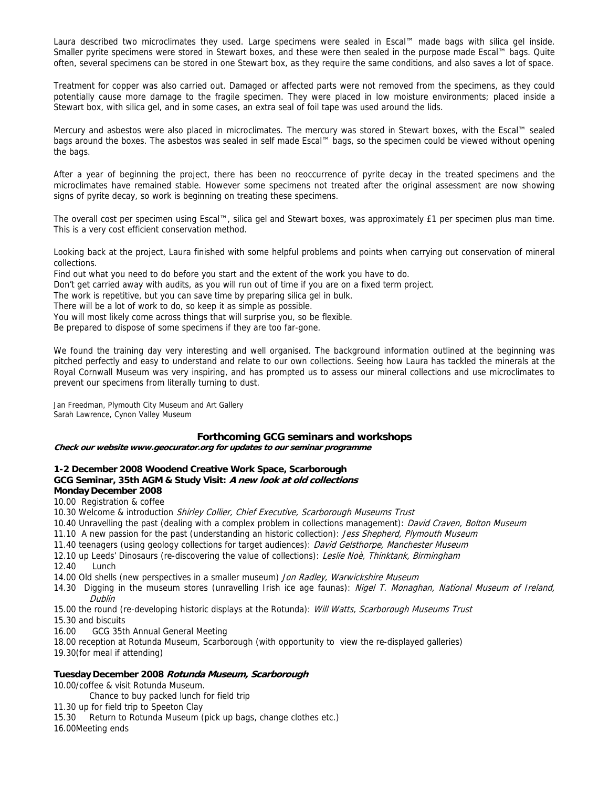Laura described two microclimates they used. Large specimens were sealed in Escal™ made bags with silica gel inside. Smaller pyrite specimens were stored in Stewart boxes, and these were then sealed in the purpose made Escal™ bags. Quite often, several specimens can be stored in one Stewart box, as they require the same conditions, and also saves a lot of space.

Treatment for copper was also carried out. Damaged or affected parts were not removed from the specimens, as they could potentially cause more damage to the fragile specimen. They were placed in low moisture environments; placed inside a Stewart box, with silica gel, and in some cases, an extra seal of foil tape was used around the lids.

Mercury and asbestos were also placed in microclimates. The mercury was stored in Stewart boxes, with the Escal™ sealed bags around the boxes. The asbestos was sealed in self made Escal™ bags, so the specimen could be viewed without opening the bags.

After a year of beginning the project, there has been no reoccurrence of pyrite decay in the treated specimens and the microclimates have remained stable. However some specimens not treated after the original assessment are now showing signs of pyrite decay, so work is beginning on treating these specimens.

The overall cost per specimen using Escal™, silica gel and Stewart boxes, was approximately £1 per specimen plus man time. This is a very cost efficient conservation method.

Looking back at the project, Laura finished with some helpful problems and points when carrying out conservation of mineral collections.

Find out what you need to do before you start and the extent of the work you have to do.

Don't get carried away with audits, as you will run out of time if you are on a fixed term project.

The work is repetitive, but you can save time by preparing silica gel in bulk.

There will be a lot of work to do, so keep it as simple as possible.

You will most likely come across things that will surprise you, so be flexible.

Be prepared to dispose of some specimens if they are too far-gone.

We found the training day very interesting and well organised. The background information outlined at the beginning was pitched perfectly and easy to understand and relate to our own collections. Seeing how Laura has tackled the minerals at the Royal Cornwall Museum was very inspiring, and has prompted us to assess our mineral collections and use microclimates to prevent our specimens from literally turning to dust.

Jan Freedman, Plymouth City Museum and Art Gallery Sarah Lawrence, Cynon Valley Museum

# **Forthcoming GCG seminars and workshops**

**Check our website www.geocurator.org for updates to our seminar programme** 

**1-2 December 2008 Woodend Creative Work Space, Scarborough GCG Seminar, 35th AGM & Study Visit: A new look at old collections Monday December 2008**

## 10.00 Registration & coffee

- 10.30 Welcome & introduction Shirley Collier, Chief Executive, Scarborough Museums Trust
- 10.40 Unravelling the past (dealing with a complex problem in collections management): David Craven, Bolton Museum
- 11.10 A new passion for the past (understanding an historic collection): Jess Shepherd, Plymouth Museum
- 11.40 teenagers (using geology collections for target audiences): David Gelsthorpe, Manchester Museum
- 12.10 up Leeds' Dinosaurs (re-discovering the value of collections): Leslie Noè, Thinktank, Birmingham

12.40 Lunch

- 14.00 Old shells (new perspectives in a smaller museum) Jon Radley, Warwickshire Museum
- 14.30 Digging in the museum stores (unravelling Irish ice age faunas): Nigel T. Monaghan, National Museum of Ireland, Dublin

15.00 the round (re-developing historic displays at the Rotunda): Will Watts, Scarborough Museums Trust

- 15.30 and biscuits
- 16.00 GCG 35th Annual General Meeting

18.00 reception at Rotunda Museum, Scarborough (with opportunity to view the re-displayed galleries)

19.30(for meal if attending)

## **Tuesday December 2008 Rotunda Museum, Scarborough**

10.00/coffee & visit Rotunda Museum.

Chance to buy packed lunch for field trip

- 11.30 up for field trip to Speeton Clay
- 15.30 Return to Rotunda Museum (pick up bags, change clothes etc.)

16.00Meeting ends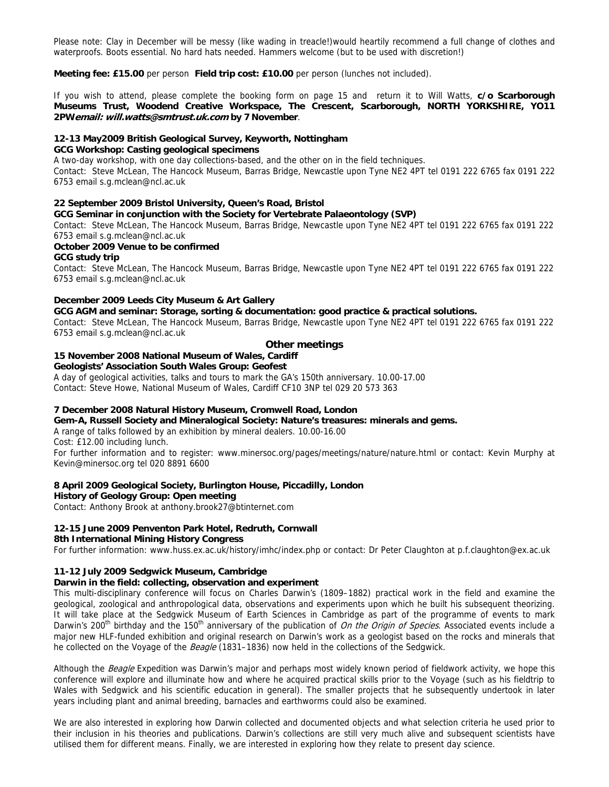Please note: Clay in December will be messy (like wading in treacle!)would heartily recommend a full change of clothes and waterproofs. Boots essential. No hard hats needed. Hammers welcome (but to be used with discretion!)

**Meeting fee: £15.00** per person **Field trip cost: £10.00** per person (lunches not included).

If you wish to attend, please complete the booking form on page 15 and return it to Will Watts, **c/o Scarborough Museums Trust, Woodend Creative Workspace, The Crescent, Scarborough, NORTH YORKSHIRE, YO11 2PWemail: will.watts@smtrust.uk.com by 7 November**.

### **12-13 May2009 British Geological Survey, Keyworth, Nottingham**

### **GCG Workshop: Casting geological specimens**

A two-day workshop, with one day collections-based, and the other on in the field techniques.

Contact:Steve McLean, The Hancock Museum, Barras Bridge, Newcastle upon Tyne NE2 4PT tel 0191 222 6765 fax 0191 222 6753 email s.g.mclean@ncl.ac.uk

#### **22 September 2009 Bristol University, Queen's Road, Bristol**

**GCG Seminar in conjunction with the Society for Vertebrate Palaeontology (SVP)** 

Contact:Steve McLean, The Hancock Museum, Barras Bridge, Newcastle upon Tyne NE2 4PT tel 0191 222 6765 fax 0191 222 6753 email s.g.mclean@ncl.ac.uk

#### **October 2009 Venue to be confirmed**

## **GCG study trip**

Contact:Steve McLean, The Hancock Museum, Barras Bridge, Newcastle upon Tyne NE2 4PT tel 0191 222 6765 fax 0191 222 6753 email s.g.mclean@ncl.ac.uk

## **December 2009 Leeds City Museum & Art Gallery**

**GCG AGM and seminar: Storage, sorting & documentation: good practice & practical solutions.**  Contact:Steve McLean, The Hancock Museum, Barras Bridge, Newcastle upon Tyne NE2 4PT tel 0191 222 6765 fax 0191 222

6753 email s.g.mclean@ncl.ac.uk

# **Other meetings**

### **15 November 2008 National Museum of Wales, Cardiff Geologists' Association South Wales Group: Geofest**

A day of geological activities, talks and tours to mark the GA's 150th anniversary. 10.00-17.00

Contact: Steve Howe, National Museum of Wales, Cardiff CF10 3NP tel 029 20 573 363

## **7 December 2008 Natural History Museum, Cromwell Road, London**

**Gem-A, Russell Society and Mineralogical Society: Nature's treasures: minerals and gems.** 

A range of talks followed by an exhibition by mineral dealers. 10.00-16.00

Cost: £12.00 including lunch.

For further information and to register: www.minersoc.org/pages/meetings/nature/nature.html or contact: Kevin Murphy at Kevin@minersoc.org tel 020 8891 6600

#### **8 April 2009 Geological Society, Burlington House, Piccadilly, London**

#### **History of Geology Group: Open meeting**

Contact: Anthony Brook at anthony.brook27@btinternet.com

#### **12-15 June 2009 Penventon Park Hotel, Redruth, Cornwall**

#### **8th International Mining History Congress**

For further information: www.huss.ex.ac.uk/history/imhc/index.php or contact: Dr Peter Claughton at p.f.claughton@ex.ac.uk

### **11-12 July 2009 Sedgwick Museum, Cambridge**

#### **Darwin in the field: collecting, observation and experiment**

This multi-disciplinary conference will focus on Charles Darwin's (1809–1882) practical work in the field and examine the geological, zoological and anthropological data, observations and experiments upon which he built his subsequent theorizing. It will take place at the Sedgwick Museum of Earth Sciences in Cambridge as part of the programme of events to mark Darwin's 200<sup>th</sup> birthday and the 150<sup>th</sup> anniversary of the publication of *On the Origin of Species*. Associated events include a major new HLF-funded exhibition and original research on Darwin's work as a geologist based on the rocks and minerals that he collected on the Voyage of the Beagle (1831–1836) now held in the collections of the Sedgwick.

Although the *Beagle* Expedition was Darwin's major and perhaps most widely known period of fieldwork activity, we hope this conference will explore and illuminate how and where he acquired practical skills prior to the Voyage (such as his fieldtrip to Wales with Sedgwick and his scientific education in general). The smaller projects that he subsequently undertook in later years including plant and animal breeding, barnacles and earthworms could also be examined.

We are also interested in exploring how Darwin collected and documented objects and what selection criteria he used prior to their inclusion in his theories and publications. Darwin's collections are still very much alive and subsequent scientists have utilised them for different means. Finally, we are interested in exploring how they relate to present day science.